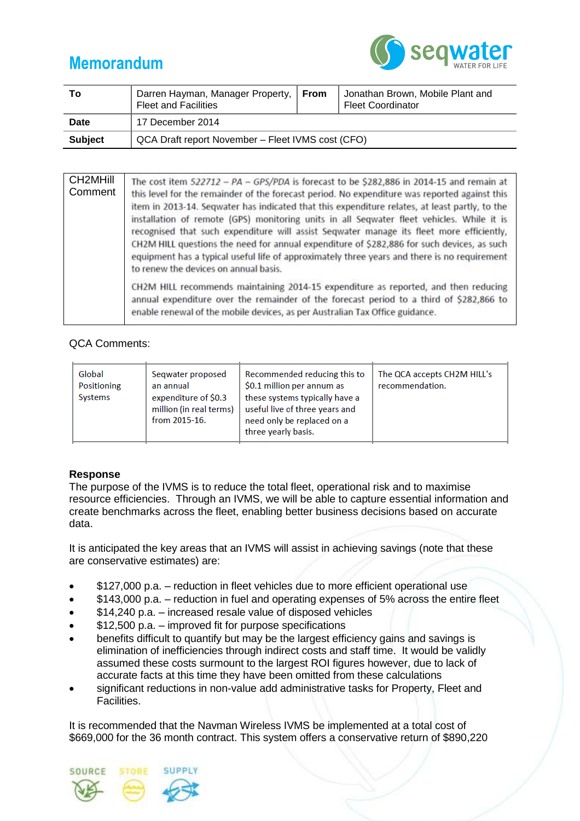# **Memorandum**



| To             | Darren Hayman, Manager Property,   From<br><b>Fleet and Facilities</b> |  | Jonathan Brown, Mobile Plant and<br><b>Fleet Coordinator</b> |  |  |
|----------------|------------------------------------------------------------------------|--|--------------------------------------------------------------|--|--|
| Date           | 17 December 2014                                                       |  |                                                              |  |  |
| <b>Subject</b> | QCA Draft report November - Fleet IVMS cost (CFO)                      |  |                                                              |  |  |

| CH <sub>2</sub> MHill<br>Comment | The cost item $522712 - PA - GPS/PDA$ is forecast to be \$282,886 in 2014-15 and remain at<br>this level for the remainder of the forecast period. No expenditure was reported against this<br>item in 2013-14. Seqwater has indicated that this expenditure relates, at least partly, to the<br>installation of remote (GPS) monitoring units in all Seqwater fleet vehicles. While it is<br>recognised that such expenditure will assist Seqwater manage its fleet more efficiently,<br>CH2M HILL questions the need for annual expenditure of \$282,886 for such devices, as such<br>equipment has a typical useful life of approximately three years and there is no requirement<br>to renew the devices on annual basis. |
|----------------------------------|-------------------------------------------------------------------------------------------------------------------------------------------------------------------------------------------------------------------------------------------------------------------------------------------------------------------------------------------------------------------------------------------------------------------------------------------------------------------------------------------------------------------------------------------------------------------------------------------------------------------------------------------------------------------------------------------------------------------------------|
|                                  | CH2M HILL recommends maintaining 2014-15 expenditure as reported, and then reducing<br>annual expenditure over the remainder of the forecast period to a third of \$282,866 to<br>enable renewal of the mobile devices, as per Australian Tax Office guidance.                                                                                                                                                                                                                                                                                                                                                                                                                                                                |

## QCA Comments:

| Global<br>Positioning<br>Systems | Seqwater proposed<br>an annual<br>expenditure of \$0.3<br>million (in real terms)<br>from 2015-16. | Recommended reducing this to<br>\$0.1 million per annum as<br>these systems typically have a<br>useful live of three years and<br>need only be replaced on a<br>three yearly basis. | The QCA accepts CH2M HILL's<br>recommendation. |
|----------------------------------|----------------------------------------------------------------------------------------------------|-------------------------------------------------------------------------------------------------------------------------------------------------------------------------------------|------------------------------------------------|
|----------------------------------|----------------------------------------------------------------------------------------------------|-------------------------------------------------------------------------------------------------------------------------------------------------------------------------------------|------------------------------------------------|

## **Response**

The purpose of the IVMS is to reduce the total fleet, operational risk and to maximise resource efficiencies. Through an IVMS, we will be able to capture essential information and create benchmarks across the fleet, enabling better business decisions based on accurate data.

It is anticipated the key areas that an IVMS will assist in achieving savings (note that these are conservative estimates) are:

- \$127,000 p.a. reduction in fleet vehicles due to more efficient operational use
- \$143,000 p.a. reduction in fuel and operating expenses of 5% across the entire fleet
- \$14,240 p.a. increased resale value of disposed vehicles
- \$12,500 p.a. improved fit for purpose specifications
- benefits difficult to quantify but may be the largest efficiency gains and savings is elimination of inefficiencies through indirect costs and staff time. It would be validly assumed these costs surmount to the largest ROI figures however, due to lack of accurate facts at this time they have been omitted from these calculations
- significant reductions in non-value add administrative tasks for Property, Fleet and Facilities.

It is recommended that the Navman Wireless IVMS be implemented at a total cost of \$669,000 for the 36 month contract. This system offers a conservative return of \$890,220

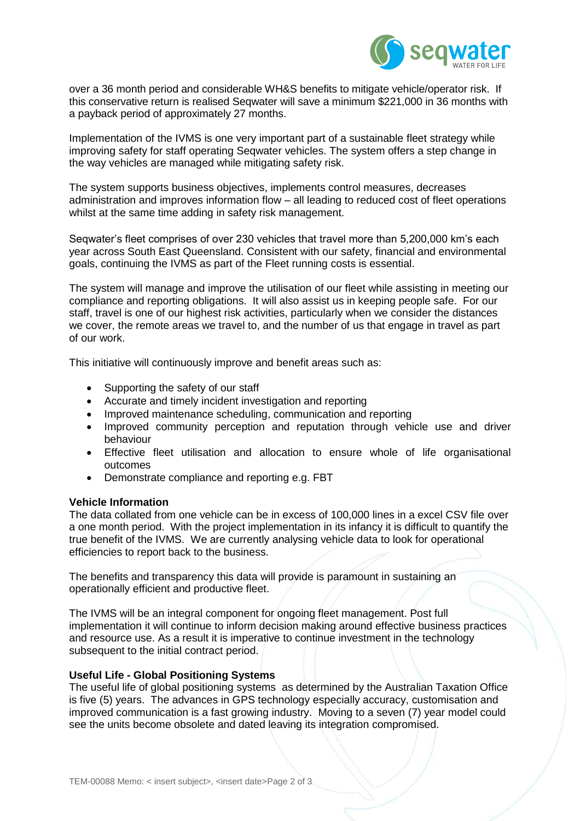

over a 36 month period and considerable WH&S benefits to mitigate vehicle/operator risk. If this conservative return is realised Seqwater will save a minimum \$221,000 in 36 months with a payback period of approximately 27 months.

Implementation of the IVMS is one very important part of a sustainable fleet strategy while improving safety for staff operating Seqwater vehicles. The system offers a step change in the way vehicles are managed while mitigating safety risk.

The system supports business objectives, implements control measures, decreases administration and improves information flow – all leading to reduced cost of fleet operations whilst at the same time adding in safety risk management.

Seqwater's fleet comprises of over 230 vehicles that travel more than 5,200,000 km's each year across South East Queensland. Consistent with our safety, financial and environmental goals, continuing the IVMS as part of the Fleet running costs is essential.

The system will manage and improve the utilisation of our fleet while assisting in meeting our compliance and reporting obligations. It will also assist us in keeping people safe. For our staff, travel is one of our highest risk activities, particularly when we consider the distances we cover, the remote areas we travel to, and the number of us that engage in travel as part of our work.

This initiative will continuously improve and benefit areas such as:

- Supporting the safety of our staff
- Accurate and timely incident investigation and reporting
- Improved maintenance scheduling, communication and reporting
- Improved community perception and reputation through vehicle use and driver behaviour
- Effective fleet utilisation and allocation to ensure whole of life organisational outcomes
- Demonstrate compliance and reporting e.g. FBT

#### **Vehicle Information**

The data collated from one vehicle can be in excess of 100,000 lines in a excel CSV file over a one month period. With the project implementation in its infancy it is difficult to quantify the true benefit of the IVMS. We are currently analysing vehicle data to look for operational efficiencies to report back to the business.

The benefits and transparency this data will provide is paramount in sustaining an operationally efficient and productive fleet.

The IVMS will be an integral component for ongoing fleet management. Post full implementation it will continue to inform decision making around effective business practices and resource use. As a result it is imperative to continue investment in the technology subsequent to the initial contract period.

#### **Useful Life - Global Positioning Systems**

The useful life of global positioning systems as determined by the Australian Taxation Office is five (5) years. The advances in GPS technology especially accuracy, customisation and improved communication is a fast growing industry. Moving to a seven (7) year model could see the units become obsolete and dated leaving its integration compromised.